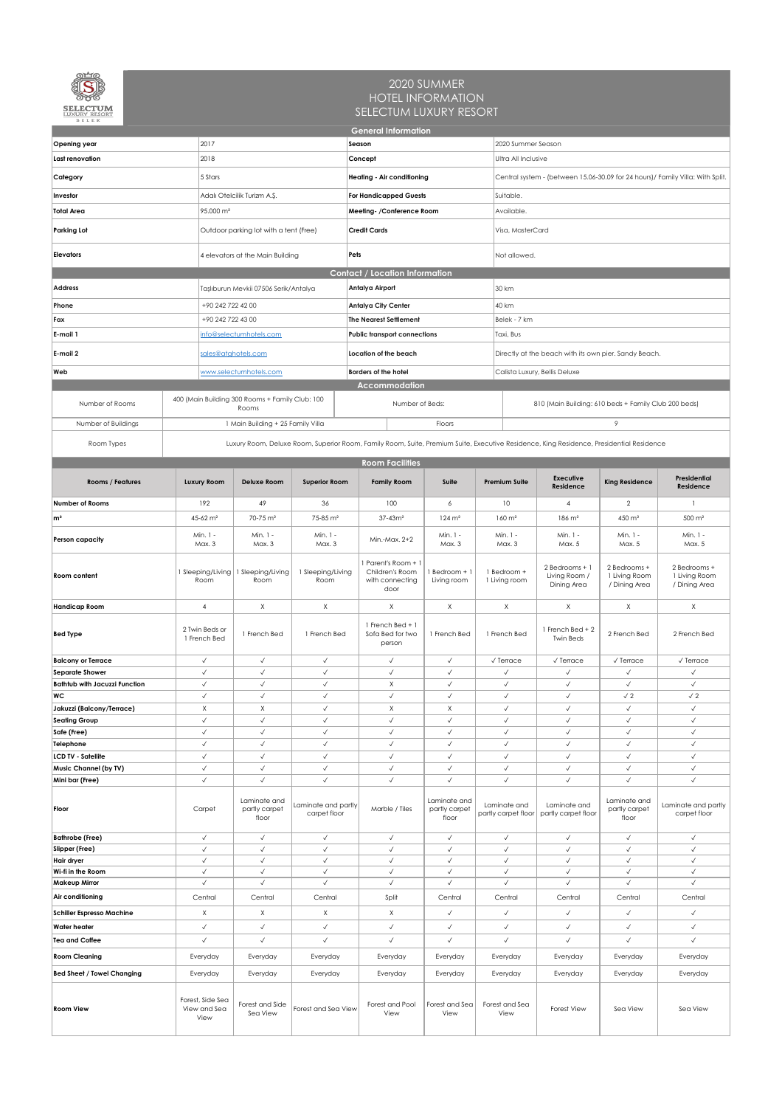| BELEK                                           |                                                                         |                                                          |                                     | <b>General Information</b>                                                                                                              |                                        |                                     |                                                                                 |                                                        |                                                |  |  |  |
|-------------------------------------------------|-------------------------------------------------------------------------|----------------------------------------------------------|-------------------------------------|-----------------------------------------------------------------------------------------------------------------------------------------|----------------------------------------|-------------------------------------|---------------------------------------------------------------------------------|--------------------------------------------------------|------------------------------------------------|--|--|--|
| Opening year                                    | 2017                                                                    |                                                          |                                     | Season                                                                                                                                  |                                        |                                     | 2020 Summer Season                                                              |                                                        |                                                |  |  |  |
| Last renovation                                 | 2018                                                                    |                                                          |                                     | Concept                                                                                                                                 |                                        |                                     | <b>Ultra All Inclusive</b>                                                      |                                                        |                                                |  |  |  |
| Category                                        | 5 Stars                                                                 |                                                          |                                     | Heating - Air conditioning                                                                                                              |                                        |                                     | Central system - (between 15.06-30.09 for 24 hours) / Family Villa: With Split. |                                                        |                                                |  |  |  |
|                                                 |                                                                         |                                                          |                                     |                                                                                                                                         |                                        |                                     |                                                                                 |                                                        |                                                |  |  |  |
| Investor                                        |                                                                         | Adalı Otelcilik Turizm A.Ş.                              |                                     | <b>For Handicapped Guests</b>                                                                                                           |                                        |                                     | Suitable.                                                                       |                                                        |                                                |  |  |  |
| <b>Total Area</b>                               | 95.000 m <sup>2</sup>                                                   |                                                          |                                     | Meeting- / Conference Room                                                                                                              |                                        | Available.                          |                                                                                 |                                                        |                                                |  |  |  |
| <b>Parking Lot</b>                              |                                                                         | Outdoor parking lot with a tent (Free)                   |                                     | <b>Credit Cards</b>                                                                                                                     |                                        |                                     | Visa, MasterCard                                                                |                                                        |                                                |  |  |  |
| <b>Elevators</b>                                |                                                                         | 4 elevators at the Main Building                         |                                     | Pets                                                                                                                                    |                                        |                                     | Not allowed.                                                                    |                                                        |                                                |  |  |  |
|                                                 |                                                                         |                                                          |                                     | <b>Contact / Location Information</b>                                                                                                   |                                        |                                     |                                                                                 |                                                        |                                                |  |  |  |
| <b>Address</b>                                  |                                                                         | Taşlıburun Mevkii 07506 Serik/Antalya                    |                                     | Antalya Airport                                                                                                                         |                                        | 30 km                               |                                                                                 |                                                        |                                                |  |  |  |
| Phone                                           | +90 242 722 42 00                                                       |                                                          |                                     | <b>Antalya City Center</b>                                                                                                              |                                        | 40 km                               |                                                                                 |                                                        |                                                |  |  |  |
| Fax                                             | +90 242 722 43 00                                                       |                                                          |                                     | <b>The Nearest Settlement</b>                                                                                                           |                                        | Belek - 7 km                        |                                                                                 |                                                        |                                                |  |  |  |
| E-mail 1                                        |                                                                         | info@selectumhotels.com                                  |                                     | <b>Public transport connections</b>                                                                                                     |                                        | Taxi, Bus                           |                                                                                 |                                                        |                                                |  |  |  |
| E-mail 2                                        |                                                                         | sales@atghotels.com                                      |                                     | Location of the beach                                                                                                                   |                                        |                                     | Directly at the beach with its own pier. Sandy Beach.                           |                                                        |                                                |  |  |  |
| Web                                             |                                                                         | www.selectumhotels.com                                   |                                     | <b>Borders of the hotel</b>                                                                                                             |                                        |                                     | Calista Luxury, Bellis Deluxe                                                   |                                                        |                                                |  |  |  |
|                                                 |                                                                         |                                                          |                                     | <b>Accommodation</b>                                                                                                                    |                                        |                                     |                                                                                 |                                                        |                                                |  |  |  |
| Number of Rooms                                 |                                                                         | 400 (Main Building 300 Rooms + Family Club: 100<br>Rooms |                                     | Number of Beds:                                                                                                                         |                                        |                                     | 810 (Main Building: 610 beds + Family Club 200 beds)                            |                                                        |                                                |  |  |  |
| Number of Buildings                             |                                                                         | 1 Main Building + 25 Family Villa                        |                                     |                                                                                                                                         | Floors                                 |                                     |                                                                                 | 9                                                      |                                                |  |  |  |
| Room Types                                      |                                                                         |                                                          |                                     | Luxury Room, Deluxe Room, Superior Room, Family Room, Suite, Premium Suite, Executive Residence, King Residence, Presidential Residence |                                        |                                     |                                                                                 |                                                        |                                                |  |  |  |
|                                                 |                                                                         |                                                          |                                     | <b>Room Facilities</b>                                                                                                                  |                                        |                                     |                                                                                 |                                                        |                                                |  |  |  |
| Rooms / Features                                | Luxury Room                                                             | <b>Deluxe Room</b>                                       | <b>Superior Room</b>                | <b>Family Room</b>                                                                                                                      | Suite                                  | <b>Premium Suite</b>                | <b>Executive</b><br>Residence                                                   | <b>King Residence</b>                                  | Presidential<br>Residence                      |  |  |  |
| Number of Rooms                                 | 192<br>49<br>36                                                         |                                                          |                                     | 100                                                                                                                                     | 6                                      | 10                                  | $\overline{4}$                                                                  | $\overline{2}$                                         |                                                |  |  |  |
| $\mathsf{m}^2$                                  | 45-62 m <sup>2</sup>                                                    | 70-75 m <sup>2</sup>                                     | 75-85 m <sup>2</sup>                | $37 - 43m^2$                                                                                                                            | $124 \, m2$                            | $160 \text{ m}^2$                   | $186 \text{ m}^2$                                                               | 450 m <sup>2</sup>                                     | $500 \text{ m}^2$                              |  |  |  |
|                                                 | Min. 1 -                                                                | Min. 1 -                                                 | Min. 1 -                            |                                                                                                                                         | Min. 1 -                               | Min. 1 -                            | Min. 1 -                                                                        | Min. 1 -                                               | Min. 1 -                                       |  |  |  |
| Person capacity                                 | Max. 3                                                                  | Max. 3                                                   | Max. 3                              | Min.-Max. 2+2                                                                                                                           | Max. 3                                 | Max. 3                              | Max. 5                                                                          | Max. 5                                                 | Max. 5                                         |  |  |  |
| Room content                                    | 1 Sleeping/Living<br>Room                                               | 1 Sleeping/Living<br>Room                                | 1 Sleeping/Living<br>Room           | Parent's Room + 1<br>Children's Room<br>with connecting<br>door                                                                         | Bedroom + 1<br>Living room             | 1 Bedroom +<br>1 Living room        | 2 Bedrooms + 1<br>Living Room /<br>Dining Area                                  | 2 Bedrooms +<br>1 Living Room<br>/ Dining Area         | 2 Bedrooms +<br>1 Living Room<br>/ Dining Area |  |  |  |
| <b>Handicap Room</b>                            | $\mathsf{X}$<br>$\overline{4}$                                          |                                                          | $\mathsf{X}$                        | $\times$                                                                                                                                | $\times$                               | $\mathsf{X}$                        |                                                                                 | $\mathsf{X}$                                           | X                                              |  |  |  |
| <b>Bed Type</b>                                 | 2 Twin Beds or<br>1 French Bed<br>1 French Bed                          |                                                          | 1 French Bed                        | 1 French Bed + 1<br>Sofa Bed for two<br>person                                                                                          | 1 French Bed                           | 1 French Bed                        |                                                                                 | 2 French Bed                                           | 2 French Bed                                   |  |  |  |
| <b>Balcony or Terrace</b>                       | $\checkmark$                                                            | $\checkmark$                                             | $\checkmark$                        | $\checkmark$                                                                                                                            | $\checkmark$                           | $\sqrt{}$ Terrace                   | $\sqrt{}$ Terrace                                                               | $\sqrt{}$ Terrace                                      | $\sqrt{}$ Terrace                              |  |  |  |
| Separate Shower                                 | $\checkmark$                                                            | $\checkmark$                                             | $\checkmark$                        | $\checkmark$                                                                                                                            | $\checkmark$                           | $\checkmark$                        | $\checkmark$                                                                    | $\checkmark$                                           | $\checkmark$                                   |  |  |  |
| <b>Bathtub with Jacuzzi Function</b>            | $\checkmark$<br>$\checkmark$                                            | $\checkmark$<br>$\checkmark$                             | $\checkmark$                        | X                                                                                                                                       | $\checkmark$                           | $\checkmark$                        | $\checkmark$                                                                    | $\checkmark$                                           | $\checkmark$                                   |  |  |  |
| WC<br>Jakuzzi (Balcony/Terrace)                 | $\mathsf{X}$                                                            | X                                                        | $\checkmark$<br>$\checkmark$        | $\checkmark$<br>$\mathsf{X}$                                                                                                            | $\checkmark$<br>X                      | $\checkmark$<br>$\checkmark$        | $\checkmark$<br>$\checkmark$                                                    | $\sqrt{2}$<br>$\checkmark$                             | $\sqrt{2}$<br>$\checkmark$                     |  |  |  |
| <b>Seating Group</b>                            | $\checkmark$                                                            | $\checkmark$                                             | $\checkmark$                        | $\checkmark$                                                                                                                            | $\checkmark$                           | $\checkmark$                        | $\checkmark$                                                                    | $\checkmark$                                           | $\checkmark$                                   |  |  |  |
| Safe (Free)                                     | $\checkmark$                                                            | $\checkmark$                                             | $\checkmark$                        | $\checkmark$                                                                                                                            | $\checkmark$                           | $\checkmark$                        | $\checkmark$                                                                    | $\checkmark$                                           | $\checkmark$                                   |  |  |  |
| Telephone                                       | $\checkmark$                                                            | $\checkmark$                                             | $\checkmark$                        | $\checkmark$                                                                                                                            | $\checkmark$                           | $\checkmark$                        | $\checkmark$                                                                    | $\checkmark$                                           | $\checkmark$                                   |  |  |  |
| <b>LCD TV - Satellite</b>                       | $\checkmark$                                                            | $\checkmark$                                             | $\checkmark$                        | $\checkmark$                                                                                                                            | $\checkmark$                           | $\checkmark$                        | $\checkmark$                                                                    | $\checkmark$<br>$\checkmark$                           | $\checkmark$                                   |  |  |  |
| <b>Music Channel (by TV)</b><br>Mini bar (Free) | $\checkmark$<br>$\checkmark$                                            | $\checkmark$<br>$\checkmark$                             | $\checkmark$<br>$\checkmark$        | $\checkmark$<br>$\checkmark$                                                                                                            | $\checkmark$<br>$\checkmark$           |                                     | $\checkmark$<br>$\checkmark$<br>$\checkmark$<br>$\checkmark$                    |                                                        | $\checkmark$<br>$\checkmark$                   |  |  |  |
| Floor                                           | Carpet                                                                  | Laminate and<br>partly carpet<br>floor                   | Laminate and partly<br>carpet floor | Marble / Tiles                                                                                                                          | Laminate and<br>partly carpet<br>floor | Laminate and<br>partly carpet floor | Laminate and<br>partly carpet floor                                             | $\checkmark$<br>Laminate and<br>partly carpet<br>floor | Laminate and partly<br>carpet floor            |  |  |  |
| <b>Bathrobe (Free)</b>                          | $\checkmark$                                                            | $\checkmark$                                             | $\checkmark$                        | $\checkmark$                                                                                                                            | $\checkmark$                           | $\checkmark$                        | $\checkmark$                                                                    | $\checkmark$                                           | $\checkmark$                                   |  |  |  |
| Slipper (Free)<br>Hair dryer                    | $\checkmark$<br>$\checkmark$                                            | $\checkmark$<br>$\checkmark$                             | $\checkmark$<br>$\checkmark$        | $\checkmark$<br>$\checkmark$                                                                                                            | $\checkmark$<br>$\checkmark$           | $\checkmark$<br>$\checkmark$        | $\checkmark$<br>$\checkmark$                                                    | $\checkmark$<br>$\checkmark$                           | $\checkmark$<br>$\checkmark$                   |  |  |  |
| Wi-fi in the Room                               | $\checkmark$                                                            | $\checkmark$                                             | $\checkmark$                        | $\checkmark$                                                                                                                            | $\checkmark$                           | $\checkmark$                        | $\checkmark$                                                                    | $\checkmark$                                           | $\checkmark$                                   |  |  |  |
| <b>Makeup Mirror</b>                            | $\checkmark$                                                            | $\checkmark$                                             | $\checkmark$                        | $\checkmark$                                                                                                                            | $\checkmark$                           | $\checkmark$                        | $\checkmark$                                                                    | $\checkmark$                                           | $\checkmark$                                   |  |  |  |
| Air conditioning                                | Central                                                                 | Central                                                  | Central                             | Split                                                                                                                                   | Central                                | Central                             | Central                                                                         | Central                                                | Central                                        |  |  |  |
| <b>Schiller Espresso Machine</b>                | $\mathsf{X}$                                                            | $\mathsf{X}$                                             | $\mathsf{X}$                        | X                                                                                                                                       | $\checkmark$                           | $\checkmark$                        | $\checkmark$                                                                    | $\checkmark$                                           | $\checkmark$                                   |  |  |  |
| <b>Water heater</b>                             | $\checkmark$                                                            | $\checkmark$                                             | $\checkmark$                        | $\checkmark$                                                                                                                            | $\checkmark$                           | $\checkmark$                        | $\checkmark$                                                                    | $\checkmark$                                           | $\checkmark$                                   |  |  |  |
| <b>Tea and Coffee</b>                           | $\checkmark$                                                            | $\checkmark$                                             | $\checkmark$                        | $\checkmark$                                                                                                                            | $\checkmark$                           | $\checkmark$                        | $\checkmark$                                                                    | $\checkmark$                                           | $\checkmark$                                   |  |  |  |
| <b>Room Cleaning</b>                            | Everyday                                                                | Everyday                                                 | Everyday                            | Everyday                                                                                                                                | Everyday                               | Everyday                            | Everyday                                                                        | Everyday                                               | Everyday                                       |  |  |  |
| <b>Bed Sheet / Towel Changing</b>               | Everyday                                                                | Everyday                                                 | Everyday                            | Everyday                                                                                                                                | Everyday                               | Everyday                            | Everyday                                                                        | Everyday                                               | Everyday                                       |  |  |  |
| <b>Room View</b>                                | Forest, Side Sea<br>Forest and Side<br>View and Sea<br>Sea View<br>View |                                                          | Forest and Sea View                 | Forest and Pool<br>View                                                                                                                 | Forest and Sea<br>View                 | Forest and Sea<br>View              | Forest View                                                                     | Sea View                                               | Sea View                                       |  |  |  |

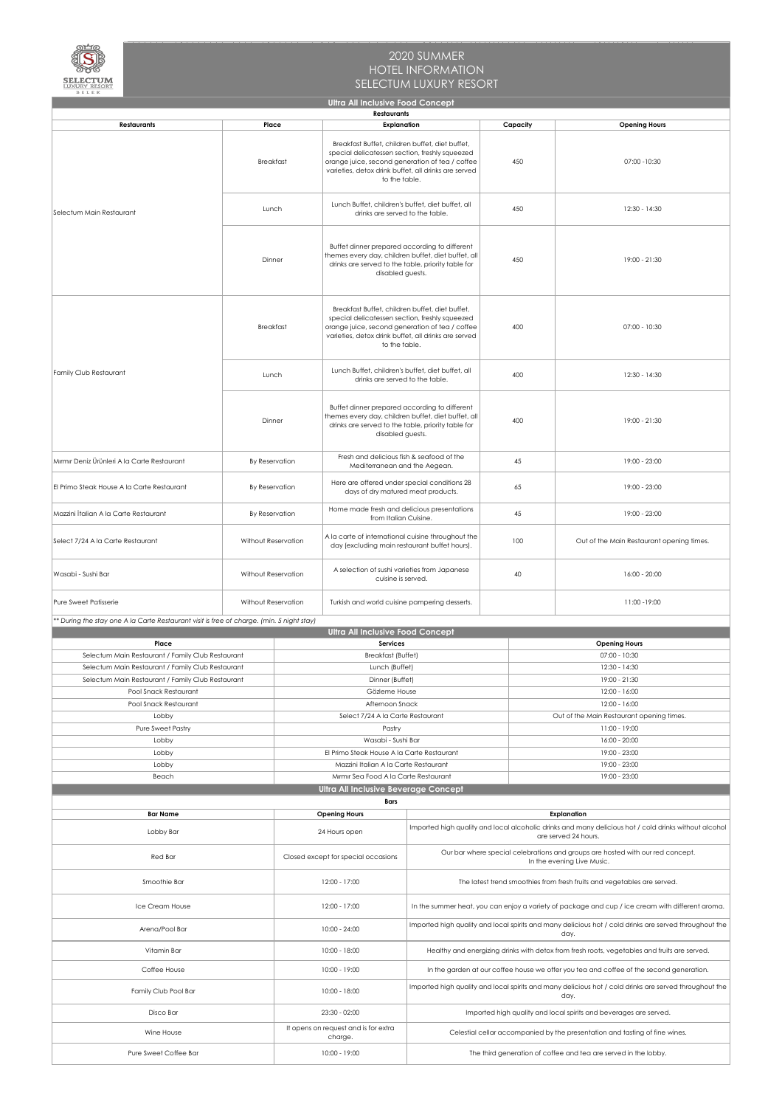

| BELEK                                                                                     |                     |               | <b>Ultra All Inclusive Food Concept</b>                                                                                                                                                                                       |                                                                                                                                              |                                                                                                              |                                                                                                                |  |  |  |
|-------------------------------------------------------------------------------------------|---------------------|---------------|-------------------------------------------------------------------------------------------------------------------------------------------------------------------------------------------------------------------------------|----------------------------------------------------------------------------------------------------------------------------------------------|--------------------------------------------------------------------------------------------------------------|----------------------------------------------------------------------------------------------------------------|--|--|--|
|                                                                                           |                     |               | <b>Restaurants</b>                                                                                                                                                                                                            |                                                                                                                                              |                                                                                                              |                                                                                                                |  |  |  |
| <b>Restaurants</b>                                                                        | Place               |               | <b>Explanation</b>                                                                                                                                                                                                            |                                                                                                                                              | Capacity                                                                                                     | <b>Opening Hours</b>                                                                                           |  |  |  |
|                                                                                           | <b>Breakfast</b>    |               | Breakfast Buffet, children buffet, diet buffet,<br>special delicatessen section, freshly squeezed<br>orange juice, second generation of tea / coffee<br>varieties, detox drink buffet, all drinks are served<br>to the table. |                                                                                                                                              | 450                                                                                                          | 07:00 - 10:30                                                                                                  |  |  |  |
| Selectum Main Restaurant                                                                  | Lunch               |               | Lunch Buffet, children's buffet, diet buffet, all<br>drinks are served to the table.                                                                                                                                          |                                                                                                                                              | 450                                                                                                          | $12:30 - 14:30$                                                                                                |  |  |  |
|                                                                                           | Dinner              |               | Buffet dinner prepared according to different<br>themes every day, children buffet, diet buffet, all<br>drinks are served to the table, priority table for<br>disabled guests.                                                |                                                                                                                                              | 450                                                                                                          | 19:00 - 21:30                                                                                                  |  |  |  |
|                                                                                           | <b>Breakfast</b>    |               | Breakfast Buffet, children buffet, diet buffet,<br>special delicatessen section, freshly squeezed<br>orange juice, second generation of tea / coffee<br>varieties, detox drink buffet, all drinks are served<br>to the table. |                                                                                                                                              | 400                                                                                                          | $07:00 - 10:30$                                                                                                |  |  |  |
| Family Club Restaurant                                                                    | Lunch               |               | Lunch Buffet, children's buffet, diet buffet, all<br>drinks are served to the table.                                                                                                                                          |                                                                                                                                              | 400                                                                                                          | $12:30 - 14:30$                                                                                                |  |  |  |
|                                                                                           | Dinner              |               | Buffet dinner prepared according to different<br>themes every day, children buffet, diet buffet, all<br>drinks are served to the table, priority table for<br>disabled guests.                                                |                                                                                                                                              | 400                                                                                                          | 19:00 - 21:30                                                                                                  |  |  |  |
| Mırmır Deniz Ürünleri A la Carte Restaurant                                               | By Reservation      |               | Fresh and delicious fish & seafood of the<br>Mediterranean and the Aegean.                                                                                                                                                    |                                                                                                                                              | 45                                                                                                           | 19:00 - 23:00                                                                                                  |  |  |  |
| El Primo Steak House A la Carte Restaurant                                                | By Reservation      |               | Here are offered under special conditions 28<br>days of dry matured meat products.                                                                                                                                            |                                                                                                                                              | 65                                                                                                           | 19:00 - 23:00                                                                                                  |  |  |  |
| Mazzini İtalian A la Carte Restaurant                                                     | By Reservation      |               | Home made fresh and delicious presentations<br>from Italian Cuisine.                                                                                                                                                          |                                                                                                                                              | 45                                                                                                           | 19:00 - 23:00                                                                                                  |  |  |  |
| Select 7/24 A la Carte Restaurant                                                         | Without Reservation |               | A la carte of international cuisine throughout the<br>day (excluding main restaurant buffet hours).                                                                                                                           |                                                                                                                                              | 100                                                                                                          | Out of the Main Restaurant opening times.                                                                      |  |  |  |
| Wasabi - Sushi Bar<br>Without Reservation                                                 |                     |               | A selection of sushi varieties from Japanese<br>cuisine is served.                                                                                                                                                            |                                                                                                                                              | 40                                                                                                           | 16:00 - 20:00                                                                                                  |  |  |  |
| Pure Sweet Patisserie                                                                     | Without Reservation |               | Turkish and world cuisine pampering desserts.                                                                                                                                                                                 |                                                                                                                                              |                                                                                                              | 11:00 - 19:00                                                                                                  |  |  |  |
| ** During the stay one A la Carte Restaurant visit is free of charge. (min. 5 night stay) |                     |               |                                                                                                                                                                                                                               |                                                                                                                                              |                                                                                                              |                                                                                                                |  |  |  |
|                                                                                           |                     |               | <b>Ultra All Inclusive Food Concept</b>                                                                                                                                                                                       |                                                                                                                                              |                                                                                                              |                                                                                                                |  |  |  |
| Place                                                                                     |                     |               | <b>Services</b>                                                                                                                                                                                                               |                                                                                                                                              |                                                                                                              | <b>Opening Hours</b>                                                                                           |  |  |  |
| Selectum Main Restaurant / Family Club Restaurant                                         |                     |               | <b>Breakfast (Buffet)</b>                                                                                                                                                                                                     |                                                                                                                                              |                                                                                                              | 07:00 - 10:30                                                                                                  |  |  |  |
| Selectum Main Restaurant / Family Club Restaurant                                         |                     |               | Lunch (Buffet)                                                                                                                                                                                                                |                                                                                                                                              |                                                                                                              | 12:30 - 14:30                                                                                                  |  |  |  |
| Selectum Main Restaurant / Family Club Restaurant<br>Pool Snack Restaurant                |                     |               | Dinner (Buffet)<br>Gözleme House                                                                                                                                                                                              |                                                                                                                                              |                                                                                                              | 19:00 - 21:30<br>12:00 - 16:00                                                                                 |  |  |  |
| Pool Snack Restaurant                                                                     |                     |               | Afternoon Snack                                                                                                                                                                                                               |                                                                                                                                              |                                                                                                              | 12:00 - 16:00                                                                                                  |  |  |  |
| Lobby                                                                                     |                     |               | Select 7/24 A la Carte Restaurant                                                                                                                                                                                             |                                                                                                                                              | Out of the Main Restaurant opening times.                                                                    |                                                                                                                |  |  |  |
| <b>Pure Sweet Pastry</b>                                                                  |                     |               | Pastry                                                                                                                                                                                                                        |                                                                                                                                              |                                                                                                              | 11:00 - 19:00                                                                                                  |  |  |  |
| Lobby                                                                                     |                     |               | Wasabi - Sushi Bar                                                                                                                                                                                                            |                                                                                                                                              |                                                                                                              | 16:00 - 20:00                                                                                                  |  |  |  |
| Lobby                                                                                     |                     |               | El Primo Steak House A la Carte Restaurant                                                                                                                                                                                    |                                                                                                                                              | 19:00 - 23:00                                                                                                |                                                                                                                |  |  |  |
| Lobby                                                                                     |                     |               | Mazzini Italian A la Carte Restaurant                                                                                                                                                                                         |                                                                                                                                              |                                                                                                              | 19:00 - 23:00                                                                                                  |  |  |  |
| Beach                                                                                     |                     |               | Mirmir Sea Food A la Carte Restaurant                                                                                                                                                                                         |                                                                                                                                              |                                                                                                              | 19:00 - 23:00                                                                                                  |  |  |  |
|                                                                                           |                     |               | <b>Ultra All Inclusive Beverage Concept</b>                                                                                                                                                                                   |                                                                                                                                              |                                                                                                              |                                                                                                                |  |  |  |
|                                                                                           |                     |               | <b>Bars</b>                                                                                                                                                                                                                   |                                                                                                                                              |                                                                                                              |                                                                                                                |  |  |  |
| <b>Bar Name</b><br>Lobby Bar                                                              |                     |               | <b>Opening Hours</b><br>24 Hours open                                                                                                                                                                                         | Explanation<br>Imported high quality and local alcoholic drinks and many delicious hot / cold drinks without alcohol<br>are served 24 hours. |                                                                                                              |                                                                                                                |  |  |  |
| Red Bar                                                                                   |                     |               | Closed except for special occasions                                                                                                                                                                                           |                                                                                                                                              | Our bar where special celebrations and groups are hosted with our red concept.<br>In the evening Live Music. |                                                                                                                |  |  |  |
| Smoothie Bar                                                                              |                     | 12:00 - 17:00 | The latest trend smoothies from fresh fruits and vegetables are served.                                                                                                                                                       |                                                                                                                                              |                                                                                                              |                                                                                                                |  |  |  |
| Ice Cream House                                                                           |                     | 12:00 - 17:00 | In the summer heat, you can enjoy a variety of package and cup / ice cream with different aroma.                                                                                                                              |                                                                                                                                              |                                                                                                              |                                                                                                                |  |  |  |
| Arena/Pool Bar                                                                            |                     |               | $10:00 - 24:00$                                                                                                                                                                                                               | Imported high quality and local spirits and many delicious hot / cold drinks are served throughout the<br>day.                               |                                                                                                              |                                                                                                                |  |  |  |
| Vitamin Bar                                                                               |                     |               | 10:00 - 18:00                                                                                                                                                                                                                 | Healthy and energizing drinks with detox from fresh roots, vegetables and fruits are served.                                                 |                                                                                                              |                                                                                                                |  |  |  |
| Coffee House                                                                              |                     |               | 10:00 - 19:00                                                                                                                                                                                                                 |                                                                                                                                              |                                                                                                              | In the garden at our coffee house we offer you tea and coffee of the second generation.                        |  |  |  |
| Family Club Pool Bar                                                                      |                     |               | 10:00 - 18:00                                                                                                                                                                                                                 |                                                                                                                                              |                                                                                                              | Imported high quality and local spirits and many delicious hot / cold drinks are served throughout the<br>day. |  |  |  |
| Disco Bar                                                                                 |                     |               | $23:30 - 02:00$                                                                                                                                                                                                               |                                                                                                                                              |                                                                                                              | Imported high quality and local spirits and beverages are served.                                              |  |  |  |
| Wine House                                                                                |                     |               | It opens on request and is for extra<br>charge.                                                                                                                                                                               | Celestial cellar accompanied by the presentation and tasting of fine wines.                                                                  |                                                                                                              |                                                                                                                |  |  |  |
| Pure Sweet Coffee Bar                                                                     |                     |               | 10:00 - 19:00                                                                                                                                                                                                                 | The third generation of coffee and tea are served in the lobby.                                                                              |                                                                                                              |                                                                                                                |  |  |  |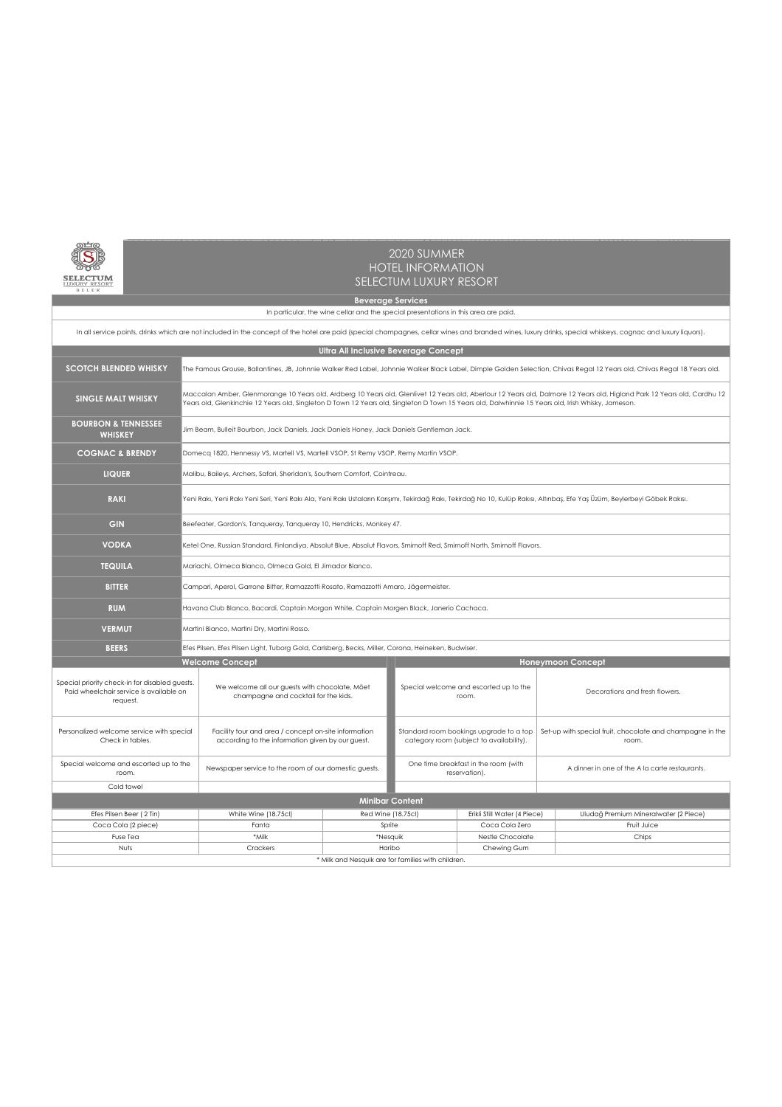

| In all service points, drinks which are not included in the concept of the hotel are paid (special champagnes, cellar wines and branded wines, luxury drinks, special whiskeys, cognac and luxury liquors). |                                                                                           |                                                                                                                                                                                                                                                                                                                                 |                                                    |                    |                                                                                     |                              |  |                                                                    |  |  |  |  |
|-------------------------------------------------------------------------------------------------------------------------------------------------------------------------------------------------------------|-------------------------------------------------------------------------------------------|---------------------------------------------------------------------------------------------------------------------------------------------------------------------------------------------------------------------------------------------------------------------------------------------------------------------------------|----------------------------------------------------|--------------------|-------------------------------------------------------------------------------------|------------------------------|--|--------------------------------------------------------------------|--|--|--|--|
| <b>Ultra All Inclusive Beverage Concept</b>                                                                                                                                                                 |                                                                                           |                                                                                                                                                                                                                                                                                                                                 |                                                    |                    |                                                                                     |                              |  |                                                                    |  |  |  |  |
| <b>SCOTCH BLENDED WHISKY</b>                                                                                                                                                                                |                                                                                           | The Famous Grouse, Ballantines, JB, Johnnie Walker Red Label, Johnnie Walker Black Label, Dimple Golden Selection, Chivas Regal 12 Years old, Chivas Regal 18 Years old.                                                                                                                                                        |                                                    |                    |                                                                                     |                              |  |                                                                    |  |  |  |  |
| <b>SINGLE MALT WHISKY</b>                                                                                                                                                                                   |                                                                                           | Maccalan Amber, Glenmorange 10 Years old, Ardberg 10 Years old, Glenlivet 12 Years old, Aberlour 12 Years old, Dalmore 12 Years old, Higland Park 12 Years old, Cardhu 12<br>Years old, Glenkinchie 12 Years old, Singleton D Town 12 Years old, Singleton D Town 15 Years old, Dalwhinnie 15 Years old, Irish Whisky, Jameson. |                                                    |                    |                                                                                     |                              |  |                                                                    |  |  |  |  |
| <b>BOURBON &amp; TENNESSEE</b><br><b>WHISKEY</b>                                                                                                                                                            | Jim Beam, Bulleit Bourbon, Jack Daniels, Jack Daniels Honey, Jack Daniels Gentleman Jack. |                                                                                                                                                                                                                                                                                                                                 |                                                    |                    |                                                                                     |                              |  |                                                                    |  |  |  |  |
| <b>COGNAC &amp; BRENDY</b>                                                                                                                                                                                  | Domecq 1820, Hennessy VS, Martell VS, Martell VSOP, St Remy VSOP, Remy Martin VSOP.       |                                                                                                                                                                                                                                                                                                                                 |                                                    |                    |                                                                                     |                              |  |                                                                    |  |  |  |  |
| <b>LIQUER</b>                                                                                                                                                                                               |                                                                                           | Malibu, Baileys, Archers, Safari, Sheridan's, Southern Comfort, Cointreau.                                                                                                                                                                                                                                                      |                                                    |                    |                                                                                     |                              |  |                                                                    |  |  |  |  |
| <b>RAKI</b>                                                                                                                                                                                                 |                                                                                           | Yeni Rakı, Yeni Rakı Yeni Seri, Yeni Rakı Ala, Yeni Rakı Ustaların Karışımı, Tekirdağ Rakı, Tekirdağ No 10, Kulüp Rakısı, Altınbaş, Efe Yaş Üzüm, Beylerbeyi Göbek Rakısı.                                                                                                                                                      |                                                    |                    |                                                                                     |                              |  |                                                                    |  |  |  |  |
| <b>GIN</b>                                                                                                                                                                                                  |                                                                                           | Beefeater, Gordon's, Tanqueray, Tanqueray 10, Hendricks, Monkey 47.                                                                                                                                                                                                                                                             |                                                    |                    |                                                                                     |                              |  |                                                                    |  |  |  |  |
| <b>VODKA</b>                                                                                                                                                                                                |                                                                                           | Ketel One, Russian Standard, Finlandiya, Absolut Blue, Absolut Flavors, Smirnoff Red, Smirnoff North, Smirnoff Flavors.                                                                                                                                                                                                         |                                                    |                    |                                                                                     |                              |  |                                                                    |  |  |  |  |
| <b>TEQUILA</b>                                                                                                                                                                                              | Mariachi, Olmeca Blanco, Olmeca Gold, El Jimador Blanco.                                  |                                                                                                                                                                                                                                                                                                                                 |                                                    |                    |                                                                                     |                              |  |                                                                    |  |  |  |  |
| <b>BITTER</b>                                                                                                                                                                                               | Campari, Aperol, Garrone Bitter, Ramazzotti Rosato, Ramazzotti Amaro, Jägermeister.       |                                                                                                                                                                                                                                                                                                                                 |                                                    |                    |                                                                                     |                              |  |                                                                    |  |  |  |  |
| <b>RUM</b>                                                                                                                                                                                                  |                                                                                           | Havana Club Blanco, Bacardi, Captain Morgan White, Captain Morgen Black, Janerio Cachaca.                                                                                                                                                                                                                                       |                                                    |                    |                                                                                     |                              |  |                                                                    |  |  |  |  |
| <b>VERMUT</b>                                                                                                                                                                                               |                                                                                           | Martini Bianco, Martini Dry, Martini Rosso.                                                                                                                                                                                                                                                                                     |                                                    |                    |                                                                                     |                              |  |                                                                    |  |  |  |  |
| <b>BEERS</b>                                                                                                                                                                                                |                                                                                           | Efes Pilsen, Efes Pilsen Light, Tuborg Gold, Carlsberg, Becks, Miller, Corona, Heineken, Budwiser.                                                                                                                                                                                                                              |                                                    |                    |                                                                                     |                              |  |                                                                    |  |  |  |  |
|                                                                                                                                                                                                             |                                                                                           | <b>Welcome Concept</b>                                                                                                                                                                                                                                                                                                          |                                                    |                    |                                                                                     |                              |  | <b>Honeymoon Concept</b>                                           |  |  |  |  |
| Special priority check-in for disabled guests.<br>Paid wheelchair service is available on<br>request.                                                                                                       |                                                                                           | We welcome all our guests with chocolate, Möet<br>champagne and cocktail for the kids.                                                                                                                                                                                                                                          |                                                    |                    | Special welcome and escorted up to the<br>room.                                     |                              |  | Decorations and fresh flowers.                                     |  |  |  |  |
| Personalized welcome service with special<br>Check in tables.                                                                                                                                               |                                                                                           | Facility tour and area / concept on-site information<br>according to the information given by our guest.                                                                                                                                                                                                                        |                                                    |                    | Standard room bookings upgrade to a top<br>category room (subject to availability). |                              |  | Set-up with special fruit, chocolate and champagne in the<br>room. |  |  |  |  |
| Special welcome and escorted up to the<br>room.                                                                                                                                                             |                                                                                           | Newspaper service to the room of our domestic guests.                                                                                                                                                                                                                                                                           |                                                    |                    | One time breakfast in the room (with<br>reservation).                               |                              |  | A dinner in one of the A la carte restaurants.                     |  |  |  |  |
| Cold towel                                                                                                                                                                                                  |                                                                                           |                                                                                                                                                                                                                                                                                                                                 |                                                    |                    |                                                                                     |                              |  |                                                                    |  |  |  |  |
|                                                                                                                                                                                                             |                                                                                           |                                                                                                                                                                                                                                                                                                                                 | <b>Minibar Content</b>                             |                    |                                                                                     |                              |  |                                                                    |  |  |  |  |
| Efes Pilsen Beer (2 Tin)                                                                                                                                                                                    |                                                                                           | White Wine (18.75cl)                                                                                                                                                                                                                                                                                                            |                                                    | Red Wine (18.75cl) |                                                                                     | Erikli Still Water (4 Piece) |  | Uludağ Premium Mineralwater (2 Piece)                              |  |  |  |  |
| Coca Cola (2 piece)                                                                                                                                                                                         |                                                                                           | Fanta                                                                                                                                                                                                                                                                                                                           |                                                    | Sprite             |                                                                                     | Coca Cola Zero               |  | Fruit Juice                                                        |  |  |  |  |
| Fuse Tea                                                                                                                                                                                                    |                                                                                           | *Milk                                                                                                                                                                                                                                                                                                                           |                                                    | *Nesquik           |                                                                                     | Nestle Chocolate             |  | Chips                                                              |  |  |  |  |
| Nuts                                                                                                                                                                                                        |                                                                                           | Crackers                                                                                                                                                                                                                                                                                                                        |                                                    | Haribo             |                                                                                     | Chewing Gum                  |  |                                                                    |  |  |  |  |
|                                                                                                                                                                                                             |                                                                                           |                                                                                                                                                                                                                                                                                                                                 | * Milk and Nesquik are for families with children. |                    |                                                                                     |                              |  |                                                                    |  |  |  |  |

**Beverage Services**

In particular, the wine cellar and the special presentations in this area are paid.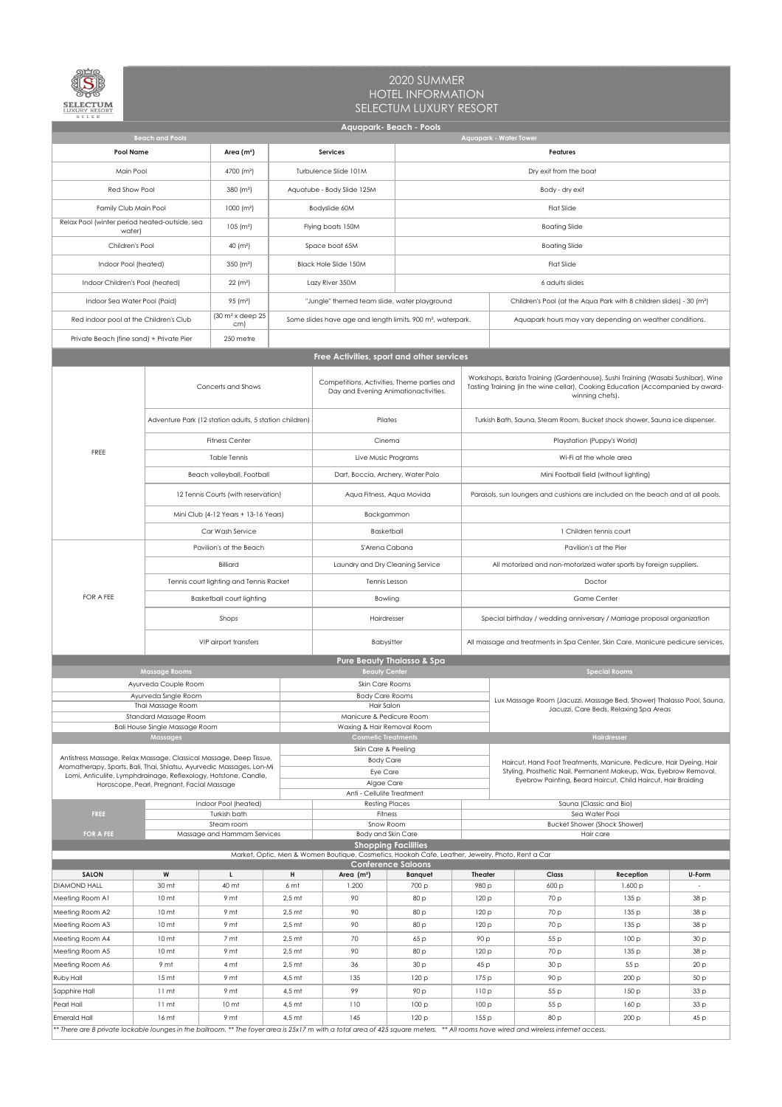

| B E L E K<br><b>Aquapark- Beach - Pools</b>                                                                                                 |                                                                                                                                                                                             |                                                     |                      |                                                                                                                               |                         |                                                                                                                                                                                         |                                                                                                                                              |                                                                            |                                                                                                                                           |              |  |  |  |
|---------------------------------------------------------------------------------------------------------------------------------------------|---------------------------------------------------------------------------------------------------------------------------------------------------------------------------------------------|-----------------------------------------------------|----------------------|-------------------------------------------------------------------------------------------------------------------------------|-------------------------|-----------------------------------------------------------------------------------------------------------------------------------------------------------------------------------------|----------------------------------------------------------------------------------------------------------------------------------------------|----------------------------------------------------------------------------|-------------------------------------------------------------------------------------------------------------------------------------------|--------------|--|--|--|
| <b>Aquapark - Water Tower</b><br><b>Beach and Pools</b>                                                                                     |                                                                                                                                                                                             |                                                     |                      |                                                                                                                               |                         |                                                                                                                                                                                         |                                                                                                                                              |                                                                            |                                                                                                                                           |              |  |  |  |
| <b>Pool Name</b>                                                                                                                            |                                                                                                                                                                                             | Area $(m2)$                                         |                      | <b>Services</b>                                                                                                               |                         | <b>Features</b>                                                                                                                                                                         |                                                                                                                                              |                                                                            |                                                                                                                                           |              |  |  |  |
| Main Pool                                                                                                                                   |                                                                                                                                                                                             | 4700 (m <sup>2</sup> )                              |                      | Turbulence Slide 101M                                                                                                         |                         | Dry exit from the boat                                                                                                                                                                  |                                                                                                                                              |                                                                            |                                                                                                                                           |              |  |  |  |
| Red Show Pool                                                                                                                               |                                                                                                                                                                                             | 380 (m <sup>2</sup> )                               |                      | Aquatube - Body Slide 125M                                                                                                    |                         |                                                                                                                                                                                         | Body - dry exit                                                                                                                              |                                                                            |                                                                                                                                           |              |  |  |  |
| Family Club Main Pool                                                                                                                       |                                                                                                                                                                                             | 1000 (m <sup>2</sup> )                              |                      | Bodyslide 60M                                                                                                                 |                         |                                                                                                                                                                                         |                                                                                                                                              | <b>Flat Slide</b>                                                          |                                                                                                                                           |              |  |  |  |
| Relax Pool (winter period heated-outside, sea                                                                                               |                                                                                                                                                                                             | $105$ (m <sup>2</sup> )                             |                      | Flying boats 150M                                                                                                             |                         |                                                                                                                                                                                         |                                                                                                                                              | <b>Boating Slide</b>                                                       |                                                                                                                                           |              |  |  |  |
| water)<br>Children's Pool                                                                                                                   |                                                                                                                                                                                             | 40 $(m2)$                                           |                      | Space boat 65M                                                                                                                |                         |                                                                                                                                                                                         |                                                                                                                                              | <b>Boating Slide</b>                                                       |                                                                                                                                           |              |  |  |  |
| Indoor Pool (heated)                                                                                                                        |                                                                                                                                                                                             | 350 $(m2)$                                          |                      | <b>Black Hole Slide 150M</b>                                                                                                  |                         |                                                                                                                                                                                         |                                                                                                                                              |                                                                            |                                                                                                                                           |              |  |  |  |
| Indoor Children's Pool (heated)                                                                                                             |                                                                                                                                                                                             | 22 (m <sup>2</sup> )                                |                      | Lazy River 350M                                                                                                               |                         | <b>Flat Slide</b><br>6 adults slides                                                                                                                                                    |                                                                                                                                              |                                                                            |                                                                                                                                           |              |  |  |  |
| Indoor Sea Water Pool (Paid)                                                                                                                |                                                                                                                                                                                             | 95 (m <sup>2</sup> )                                |                      | "Jungle" themed team slide, water playground                                                                                  |                         |                                                                                                                                                                                         |                                                                                                                                              |                                                                            |                                                                                                                                           |              |  |  |  |
| Red indoor pool at the Children's Club                                                                                                      |                                                                                                                                                                                             | $(30 \text{ m}^2 \times \text{deep } 25)$           |                      | Some slides have age and length limits. 900 m <sup>2</sup> , waterpark.                                                       |                         |                                                                                                                                                                                         | Children's Pool (at the Aqua Park with 8 children slides) - 30 (m <sup>2</sup> )<br>Aquapark hours may vary depending on weather conditions. |                                                                            |                                                                                                                                           |              |  |  |  |
|                                                                                                                                             |                                                                                                                                                                                             | cm)                                                 |                      |                                                                                                                               |                         |                                                                                                                                                                                         |                                                                                                                                              |                                                                            |                                                                                                                                           |              |  |  |  |
| Private Beach (fine sand) + Private Pier<br>250 metre<br>Free Activities, sport and other services                                          |                                                                                                                                                                                             |                                                     |                      |                                                                                                                               |                         |                                                                                                                                                                                         |                                                                                                                                              |                                                                            |                                                                                                                                           |              |  |  |  |
|                                                                                                                                             |                                                                                                                                                                                             |                                                     |                      |                                                                                                                               |                         |                                                                                                                                                                                         |                                                                                                                                              |                                                                            |                                                                                                                                           |              |  |  |  |
|                                                                                                                                             |                                                                                                                                                                                             | Concerts and Shows                                  |                      | Competitions, Activities, Theme parties and<br>Day and Evening Animationactivities.                                           |                         | Workshops, Barista Training (Gardenhouse), Sushi Training (Wasabi Sushibar), Wine<br>Tasting Training (in the wine cellar), Cooking Education (Accompanied by award-<br>winning chefs). |                                                                                                                                              |                                                                            |                                                                                                                                           |              |  |  |  |
|                                                                                                                                             | Adventure Park (12 station adults, 5 station children)                                                                                                                                      |                                                     |                      | Pilates                                                                                                                       |                         |                                                                                                                                                                                         |                                                                                                                                              | Turkish Bath, Sauna, Steam Room, Bucket shock shower, Sauna ice dispenser. |                                                                                                                                           |              |  |  |  |
| FREE                                                                                                                                        |                                                                                                                                                                                             | <b>Fitness Center</b>                               |                      | Cinema                                                                                                                        |                         |                                                                                                                                                                                         |                                                                                                                                              |                                                                            | Playstation (Puppy's World)                                                                                                               |              |  |  |  |
|                                                                                                                                             |                                                                                                                                                                                             | Table Tennis                                        |                      | Live Music Programs                                                                                                           |                         | Wi-Fi at the whole area                                                                                                                                                                 |                                                                                                                                              |                                                                            |                                                                                                                                           |              |  |  |  |
|                                                                                                                                             |                                                                                                                                                                                             | Beach volleyball, Football                          |                      | Dart, Boccia, Archery, Water Polo                                                                                             |                         |                                                                                                                                                                                         |                                                                                                                                              |                                                                            | Mini Football field (without lighting)                                                                                                    |              |  |  |  |
|                                                                                                                                             |                                                                                                                                                                                             | 12 Tennis Courts (with reservation)                 |                      | Aqua Fitness, Aqua Movida                                                                                                     |                         | Parasols, sun loungers and cushions are included on the beach and at all pools.                                                                                                         |                                                                                                                                              |                                                                            |                                                                                                                                           |              |  |  |  |
|                                                                                                                                             |                                                                                                                                                                                             | Mini Club (4-12 Years + 13-16 Years)                |                      | Backgammon                                                                                                                    |                         |                                                                                                                                                                                         |                                                                                                                                              |                                                                            |                                                                                                                                           |              |  |  |  |
|                                                                                                                                             |                                                                                                                                                                                             | Car Wash Service                                    |                      | <b>Basketball</b>                                                                                                             |                         | 1 Children tennis court                                                                                                                                                                 |                                                                                                                                              |                                                                            |                                                                                                                                           |              |  |  |  |
|                                                                                                                                             |                                                                                                                                                                                             | Pavilion's at the Beach                             |                      | S'Arena Cabana                                                                                                                |                         | Pavilion's at the Pier<br>All motorized and non-motorized water sports by foreign suppliers.                                                                                            |                                                                                                                                              |                                                                            |                                                                                                                                           |              |  |  |  |
|                                                                                                                                             |                                                                                                                                                                                             | Billiard<br>Tennis court lighting and Tennis Racket |                      | Laundry and Dry Cleaning Service<br>Tennis Lesson                                                                             |                         |                                                                                                                                                                                         |                                                                                                                                              |                                                                            | Doctor                                                                                                                                    |              |  |  |  |
| FOR A FEE                                                                                                                                   |                                                                                                                                                                                             | <b>Basketball court lighting</b>                    |                      | Bowling                                                                                                                       |                         |                                                                                                                                                                                         | <b>Game Center</b>                                                                                                                           |                                                                            |                                                                                                                                           |              |  |  |  |
|                                                                                                                                             |                                                                                                                                                                                             |                                                     |                      | Hairdresser                                                                                                                   |                         |                                                                                                                                                                                         | Special birthday / wedding anniversary / Marriage proposal organization                                                                      |                                                                            |                                                                                                                                           |              |  |  |  |
|                                                                                                                                             |                                                                                                                                                                                             | Shops                                               |                      |                                                                                                                               |                         |                                                                                                                                                                                         | All massage and treatments in Spa Center, Skin Care, Manicure pedicure services.                                                             |                                                                            |                                                                                                                                           |              |  |  |  |
|                                                                                                                                             |                                                                                                                                                                                             | VIP airport transfers                               |                      | <b>Babysitter</b><br><b>Pure Beauty Thalasso &amp; Spa</b>                                                                    |                         |                                                                                                                                                                                         |                                                                                                                                              |                                                                            |                                                                                                                                           |              |  |  |  |
|                                                                                                                                             | <b>Massage Rooms</b>                                                                                                                                                                        |                                                     |                      | <b>Beauty Center</b>                                                                                                          |                         |                                                                                                                                                                                         |                                                                                                                                              |                                                                            | <b>Special Rooms</b>                                                                                                                      |              |  |  |  |
|                                                                                                                                             | Ayurveda Couple Room                                                                                                                                                                        |                                                     |                      | Skin Care Rooms                                                                                                               |                         |                                                                                                                                                                                         |                                                                                                                                              |                                                                            |                                                                                                                                           |              |  |  |  |
|                                                                                                                                             | Ayurveda Single Room<br>Thai Massage Room                                                                                                                                                   |                                                     |                      | <b>Body Care Rooms</b><br>Hair Salon                                                                                          |                         | Lux Massage Room (Jacuzzi, Massage Bed, Shower) Thalasso Pool, Sauna,<br>Jacuzzi, Care Beds, Relaxing Spa Areas                                                                         |                                                                                                                                              |                                                                            |                                                                                                                                           |              |  |  |  |
|                                                                                                                                             | Standard Massage Room<br><b>Bali House Single Massage Room</b>                                                                                                                              |                                                     |                      | Manicure & Pedicure Room                                                                                                      |                         |                                                                                                                                                                                         |                                                                                                                                              |                                                                            |                                                                                                                                           |              |  |  |  |
|                                                                                                                                             | <b>Massages</b>                                                                                                                                                                             |                                                     |                      | Waxing & Hair Removal Room<br><b>Cosmetic Treatments</b>                                                                      |                         |                                                                                                                                                                                         |                                                                                                                                              |                                                                            | Hairdresser                                                                                                                               |              |  |  |  |
|                                                                                                                                             |                                                                                                                                                                                             |                                                     |                      | Skin Care & Peeling                                                                                                           |                         |                                                                                                                                                                                         |                                                                                                                                              |                                                                            |                                                                                                                                           |              |  |  |  |
| Antistress Massage, Relax Massage, Classical Massage, Deep Tissue,<br>Aromatherapy, Sports, Bali, Thai, Shiatsu, Ayurvedic Massages, Lon-Mi |                                                                                                                                                                                             |                                                     |                      | <b>Body Care</b><br>Eye Care                                                                                                  |                         |                                                                                                                                                                                         |                                                                                                                                              |                                                                            | Haircut, Hand Foot Treatments, Manicure, Pedicure, Hair Dyeing, Hair<br>Styling, Prosthetic Nail, Permanent Makeup, Wax, Eyebrow Removal, |              |  |  |  |
| Lomi, Anticulite, Lymphdrainage, Reflexology, Hotstone, Candle,                                                                             | Horoscope, Pearl, Pregnant, Facial Massage                                                                                                                                                  |                                                     |                      | Algae Care                                                                                                                    |                         | Eyebrow Painting, Beard Haircut, Child Haircut, Hair Braiding                                                                                                                           |                                                                                                                                              |                                                                            |                                                                                                                                           |              |  |  |  |
|                                                                                                                                             |                                                                                                                                                                                             | Indoor Pool (heated)                                |                      | Anti - Cellulite Treatment<br><b>Resting Places</b>                                                                           |                         |                                                                                                                                                                                         |                                                                                                                                              |                                                                            | Sauna (Classic and Bio)                                                                                                                   |              |  |  |  |
| <b>FREE</b>                                                                                                                                 |                                                                                                                                                                                             | Turkish bath                                        |                      | <b>Fitness</b>                                                                                                                |                         | Sea Water Pool                                                                                                                                                                          |                                                                                                                                              |                                                                            |                                                                                                                                           |              |  |  |  |
| <b>FOR A FEE</b>                                                                                                                            |                                                                                                                                                                                             | Steam room<br>Massage and Hammam Services           |                      | Snow Room<br>Body and Skin Care                                                                                               |                         | <b>Bucket Shower (Shock Shower)</b><br>Hair care                                                                                                                                        |                                                                                                                                              |                                                                            |                                                                                                                                           |              |  |  |  |
|                                                                                                                                             |                                                                                                                                                                                             |                                                     |                      | <b>Shopping Facilities</b>                                                                                                    |                         |                                                                                                                                                                                         |                                                                                                                                              |                                                                            |                                                                                                                                           |              |  |  |  |
|                                                                                                                                             |                                                                                                                                                                                             |                                                     |                      | Market, Optic, Men & Women Boutique, Cosmetics, Hookah Cafe, Leather, Jewelry, Photo, Rent a Car<br><b>Conference Saloons</b> |                         |                                                                                                                                                                                         |                                                                                                                                              |                                                                            |                                                                                                                                           |              |  |  |  |
| <b>SALON</b><br><b>DIAMOND HALL</b>                                                                                                         | W<br>30 mt                                                                                                                                                                                  | $\mathbf{L}$<br>40 mt                               | H<br>6 mt            | Area $(m2)$<br>1.200                                                                                                          | <b>Banquet</b><br>700 p | <b>Theater</b><br>980 p                                                                                                                                                                 |                                                                                                                                              | <b>Class</b><br>600 p                                                      | Reception<br>1.600 p                                                                                                                      | U-Form       |  |  |  |
| Meeting Room A1                                                                                                                             | 10 <sub>mt</sub>                                                                                                                                                                            | 9 mt                                                | $2,5$ mt             | 90                                                                                                                            | 80 p                    | 120p                                                                                                                                                                                    |                                                                                                                                              | 70 p                                                                       | 135p                                                                                                                                      | 38 p         |  |  |  |
| Meeting Room A2                                                                                                                             | 10 <sub>mt</sub>                                                                                                                                                                            | 9 mt                                                | $2,5$ mt             | 90                                                                                                                            | 80 p                    | 120p                                                                                                                                                                                    |                                                                                                                                              | 70 p                                                                       | 135p                                                                                                                                      | 38 p         |  |  |  |
| Meeting Room A3                                                                                                                             | 10 <sub>mt</sub>                                                                                                                                                                            | 9 mt<br>$2,5$ mt                                    |                      | 90                                                                                                                            | 80p                     | 120p                                                                                                                                                                                    |                                                                                                                                              | 70 p                                                                       | 135p                                                                                                                                      | 38 p         |  |  |  |
| Meeting Room A4                                                                                                                             | 10 <sub>mt</sub><br>7 mt                                                                                                                                                                    |                                                     | $2,5$ mt             | 70                                                                                                                            | 65 p                    | 90 p                                                                                                                                                                                    |                                                                                                                                              | 55 p                                                                       | 100p                                                                                                                                      | 30p          |  |  |  |
| Meeting Room A5                                                                                                                             | 10 <sub>mt</sub>                                                                                                                                                                            | 9 mt                                                | $2,5$ mt             | 90                                                                                                                            | 80 p                    | 120p                                                                                                                                                                                    |                                                                                                                                              | 70 p                                                                       | 135p                                                                                                                                      | 38 p         |  |  |  |
| Meeting Room A6                                                                                                                             | 9 mt                                                                                                                                                                                        | 4 mt                                                | $2,5$ mt             | 36                                                                                                                            | 30p                     | 45 p                                                                                                                                                                                    |                                                                                                                                              | 30p                                                                        | 55 p                                                                                                                                      | 20 p         |  |  |  |
| Ruby Hall                                                                                                                                   | 15 <sub>mt</sub>                                                                                                                                                                            | 9 mt                                                | $4,5$ mt             | 135                                                                                                                           | 120p                    | 175 p                                                                                                                                                                                   |                                                                                                                                              | 90 p                                                                       | 200 p                                                                                                                                     | 50 p         |  |  |  |
| Sapphire Hall<br>Pearl Hall                                                                                                                 | $11 \text{ mt}$<br>11 <sub>mt</sub>                                                                                                                                                         | 9 mt<br>10 <sub>mt</sub>                            | $4,5$ mt<br>$4,5$ mt | 99<br>110                                                                                                                     | 90 p<br>100p            | 110p<br>100p                                                                                                                                                                            |                                                                                                                                              | 55 p<br>55 p                                                               | 150p<br>160p                                                                                                                              | 33 p<br>33 p |  |  |  |
| Emerald Hall                                                                                                                                | 16 mt                                                                                                                                                                                       | 9 mt                                                | $4,5$ mt             | 145                                                                                                                           | 120p                    |                                                                                                                                                                                         |                                                                                                                                              | 80 p                                                                       | 200 p                                                                                                                                     | 45 p         |  |  |  |
|                                                                                                                                             | 155p<br>** There are 8 private lockable lounges in the ballroom. ** The foyer area is 25x17 m with a total area of 425 square meters. ** All rooms have wired and wireless internet access. |                                                     |                      |                                                                                                                               |                         |                                                                                                                                                                                         |                                                                                                                                              |                                                                            |                                                                                                                                           |              |  |  |  |